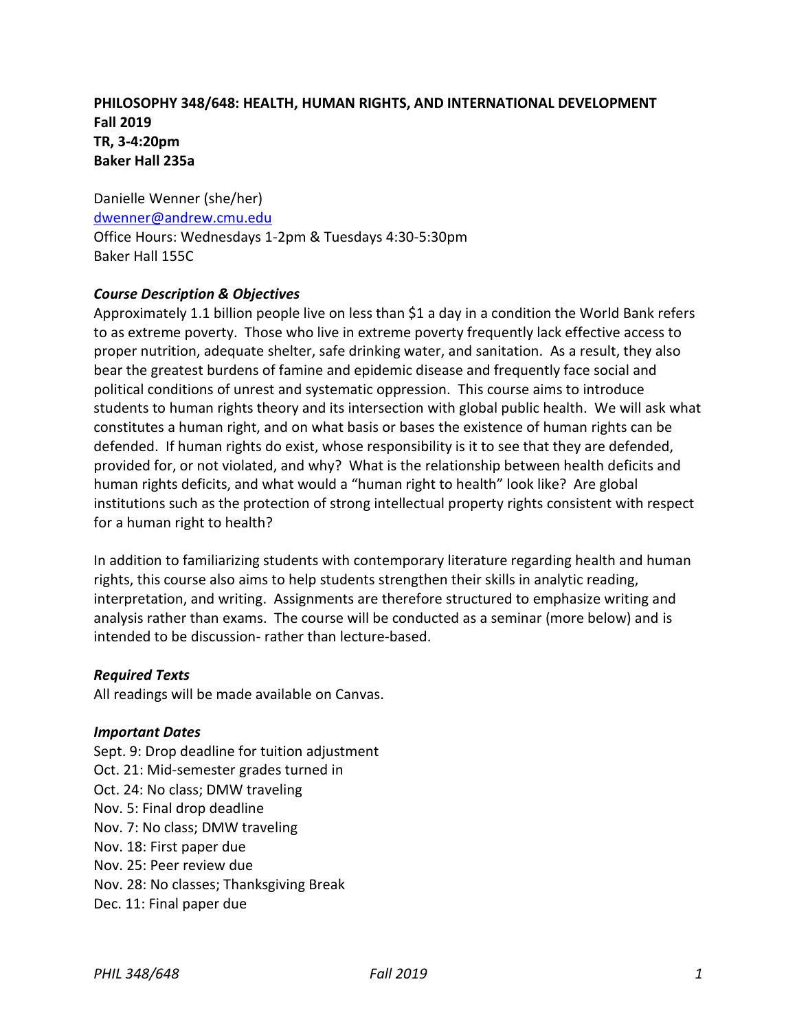# **PHILOSOPHY 348/648: HEALTH, HUMAN RIGHTS, AND INTERNATIONAL DEVELOPMENT Fall 2019 TR, 3-4:20pm Baker Hall 235a**

Danielle Wenner (she/her) [dwenner@andrew.cmu.edu](mailto:dwenner@andrew.cmu.edu) Office Hours: Wednesdays 1-2pm & Tuesdays 4:30-5:30pm Baker Hall 155C

### *Course Description & Objectives*

Approximately 1.1 billion people live on less than \$1 a day in a condition the World Bank refers to as extreme poverty. Those who live in extreme poverty frequently lack effective access to proper nutrition, adequate shelter, safe drinking water, and sanitation. As a result, they also bear the greatest burdens of famine and epidemic disease and frequently face social and political conditions of unrest and systematic oppression. This course aims to introduce students to human rights theory and its intersection with global public health. We will ask what constitutes a human right, and on what basis or bases the existence of human rights can be defended. If human rights do exist, whose responsibility is it to see that they are defended, provided for, or not violated, and why? What is the relationship between health deficits and human rights deficits, and what would a "human right to health" look like? Are global institutions such as the protection of strong intellectual property rights consistent with respect for a human right to health?

In addition to familiarizing students with contemporary literature regarding health and human rights, this course also aims to help students strengthen their skills in analytic reading, interpretation, and writing. Assignments are therefore structured to emphasize writing and analysis rather than exams. The course will be conducted as a seminar (more below) and is intended to be discussion- rather than lecture-based.

### *Required Texts*

All readings will be made available on Canvas.

#### *Important Dates*

Sept. 9: Drop deadline for tuition adjustment Oct. 21: Mid-semester grades turned in Oct. 24: No class; DMW traveling Nov. 5: Final drop deadline Nov. 7: No class; DMW traveling Nov. 18: First paper due Nov. 25: Peer review due Nov. 28: No classes; Thanksgiving Break Dec. 11: Final paper due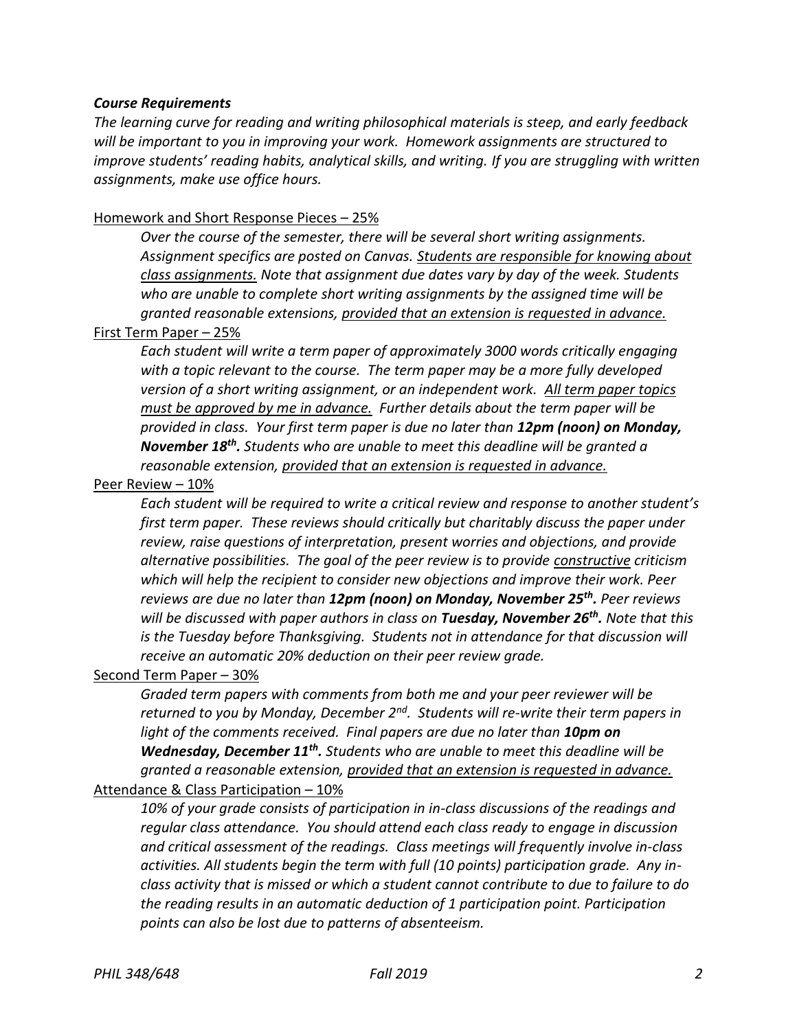#### *Course Requirements*

*The learning curve for reading and writing philosophical materials is steep, and early feedback will be important to you in improving your work. Homework assignments are structured to improve students' reading habits, analytical skills, and writing. If you are struggling with written assignments, make use office hours.*

### Homework and Short Response Pieces – 25%

*Over the course of the semester, there will be several short writing assignments. Assignment specifics are posted on Canvas. Students are responsible for knowing about class assignments. Note that assignment due dates vary by day of the week. Students who are unable to complete short writing assignments by the assigned time will be granted reasonable extensions, provided that an extension is requested in advance.*

#### First Term Paper – 25%

*Each student will write a term paper of approximately 3000 words critically engaging with a topic relevant to the course. The term paper may be a more fully developed version of a short writing assignment, or an independent work. All term paper topics must be approved by me in advance. Further details about the term paper will be provided in class. Your first term paper is due no later than 12pm (noon) on Monday, November 18th . Students who are unable to meet this deadline will be granted a reasonable extension, provided that an extension is requested in advance.*

#### Peer Review – 10%

*Each student will be required to write a critical review and response to another student's first term paper. These reviews should critically but charitably discuss the paper under review, raise questions of interpretation, present worries and objections, and provide alternative possibilities. The goal of the peer review is to provide constructive criticism which will help the recipient to consider new objections and improve their work. Peer reviews are due no later than 12pm (noon) on Monday, November 25th . Peer reviews will be discussed with paper authors in class on Tuesday, November 26th . Note that this is the Tuesday before Thanksgiving. Students not in attendance for that discussion will receive an automatic 20% deduction on their peer review grade.*

### Second Term Paper – 30%

*Graded term papers with comments from both me and your peer reviewer will be returned to you by Monday, December 2nd. Students will re-write their term papers in*  light of the comments received. Final papers are due no later than **10pm on** *Wednesday, December 11th . Students who are unable to meet this deadline will be granted a reasonable extension, provided that an extension is requested in advance.*

# Attendance & Class Participation – 10%

*10% of your grade consists of participation in in-class discussions of the readings and regular class attendance. You should attend each class ready to engage in discussion and critical assessment of the readings. Class meetings will frequently involve in-class activities. All students begin the term with full (10 points) participation grade. Any inclass activity that is missed or which a student cannot contribute to due to failure to do the reading results in an automatic deduction of 1 participation point. Participation points can also be lost due to patterns of absenteeism.*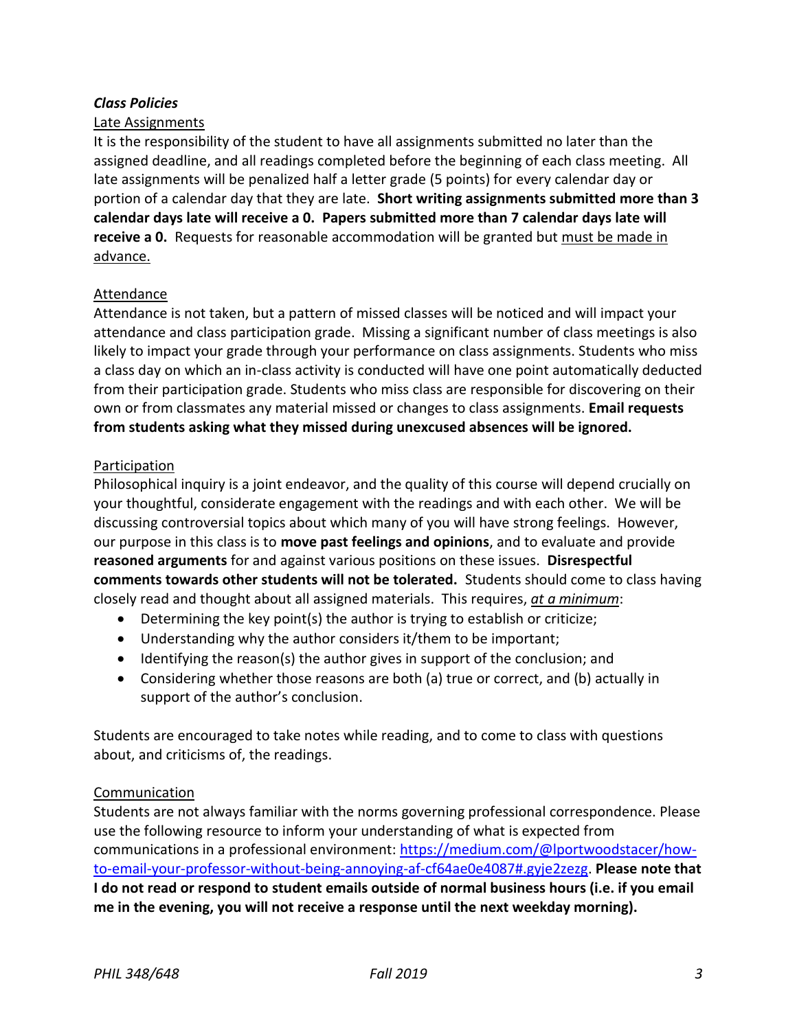## *Class Policies*

### Late Assignments

It is the responsibility of the student to have all assignments submitted no later than the assigned deadline, and all readings completed before the beginning of each class meeting. All late assignments will be penalized half a letter grade (5 points) for every calendar day or portion of a calendar day that they are late. **Short writing assignments submitted more than 3 calendar days late will receive a 0. Papers submitted more than 7 calendar days late will receive a 0.** Requests for reasonable accommodation will be granted but must be made in advance.

### Attendance

Attendance is not taken, but a pattern of missed classes will be noticed and will impact your attendance and class participation grade. Missing a significant number of class meetings is also likely to impact your grade through your performance on class assignments. Students who miss a class day on which an in-class activity is conducted will have one point automatically deducted from their participation grade. Students who miss class are responsible for discovering on their own or from classmates any material missed or changes to class assignments. **Email requests from students asking what they missed during unexcused absences will be ignored.**

#### Participation

Philosophical inquiry is a joint endeavor, and the quality of this course will depend crucially on your thoughtful, considerate engagement with the readings and with each other. We will be discussing controversial topics about which many of you will have strong feelings. However, our purpose in this class is to **move past feelings and opinions**, and to evaluate and provide **reasoned arguments** for and against various positions on these issues. **Disrespectful comments towards other students will not be tolerated.** Students should come to class having closely read and thought about all assigned materials. This requires, *at a minimum*:

- Determining the key point(s) the author is trying to establish or criticize;
- Understanding why the author considers it/them to be important;
- Identifying the reason(s) the author gives in support of the conclusion; and
- Considering whether those reasons are both (a) true or correct, and (b) actually in support of the author's conclusion.

Students are encouraged to take notes while reading, and to come to class with questions about, and criticisms of, the readings.

### Communication

Students are not always familiar with the norms governing professional correspondence. Please use the following resource to inform your understanding of what is expected from communications in a professional environment: [https://medium.com/@lportwoodstacer/how](https://medium.com/@lportwoodstacer/how-to-email-your-professor-without-being-annoying-af-cf64ae0e4087#.gyje2zezg)[to-email-your-professor-without-being-annoying-af-cf64ae0e4087#.gyje2zezg.](https://medium.com/@lportwoodstacer/how-to-email-your-professor-without-being-annoying-af-cf64ae0e4087#.gyje2zezg) **Please note that I do not read or respond to student emails outside of normal business hours (i.e. if you email me in the evening, you will not receive a response until the next weekday morning).**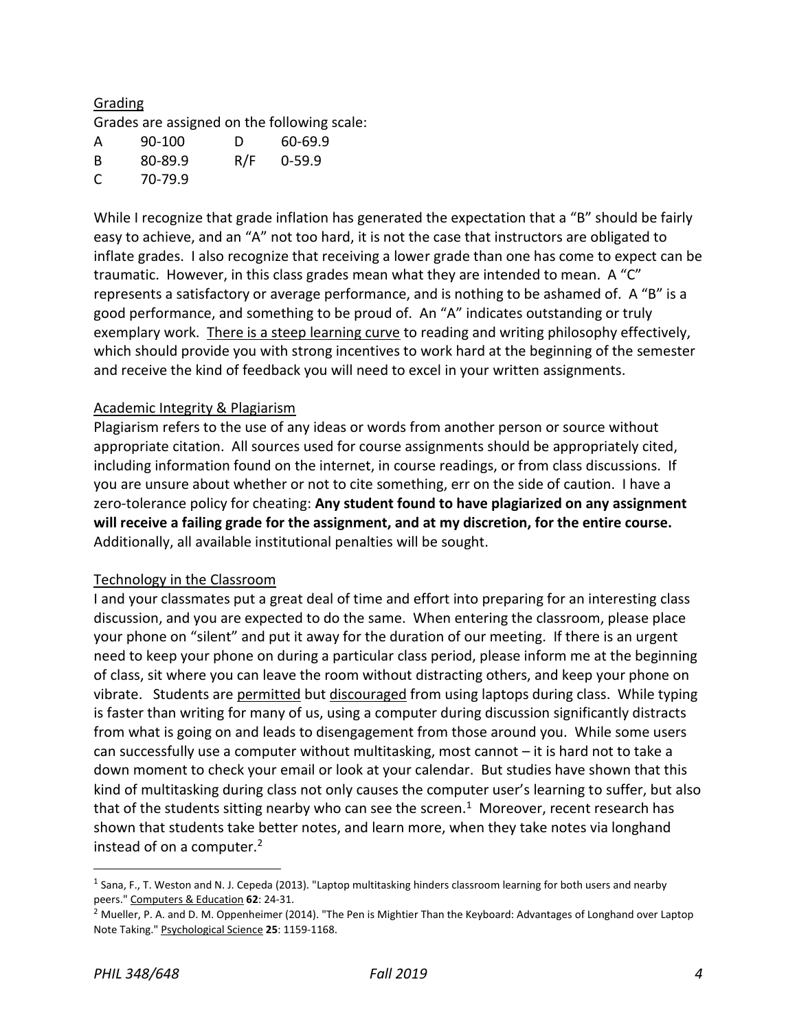# Grading

Grades are assigned on the following scale:

| A  | 90-100  | Ð   | 60-69.9    |
|----|---------|-----|------------|
| -B | 80-89.9 | R/F | $0 - 59.9$ |
| C  | 70-79.9 |     |            |

While I recognize that grade inflation has generated the expectation that a "B" should be fairly easy to achieve, and an "A" not too hard, it is not the case that instructors are obligated to inflate grades. I also recognize that receiving a lower grade than one has come to expect can be traumatic. However, in this class grades mean what they are intended to mean. A "C" represents a satisfactory or average performance, and is nothing to be ashamed of. A "B" is a good performance, and something to be proud of. An "A" indicates outstanding or truly exemplary work. There is a steep learning curve to reading and writing philosophy effectively, which should provide you with strong incentives to work hard at the beginning of the semester and receive the kind of feedback you will need to excel in your written assignments.

### Academic Integrity & Plagiarism

Plagiarism refers to the use of any ideas or words from another person or source without appropriate citation. All sources used for course assignments should be appropriately cited, including information found on the internet, in course readings, or from class discussions. If you are unsure about whether or not to cite something, err on the side of caution. I have a zero-tolerance policy for cheating: **Any student found to have plagiarized on any assignment will receive a failing grade for the assignment, and at my discretion, for the entire course.** Additionally, all available institutional penalties will be sought.

### Technology in the Classroom

I and your classmates put a great deal of time and effort into preparing for an interesting class discussion, and you are expected to do the same. When entering the classroom, please place your phone on "silent" and put it away for the duration of our meeting. If there is an urgent need to keep your phone on during a particular class period, please inform me at the beginning of class, sit where you can leave the room without distracting others, and keep your phone on vibrate. Students are permitted but discouraged from using laptops during class. While typing is faster than writing for many of us, using a computer during discussion significantly distracts from what is going on and leads to disengagement from those around you. While some users can successfully use a computer without multitasking, most cannot – it is hard not to take a down moment to check your email or look at your calendar. But studies have shown that this kind of multitasking during class not only causes the computer user's learning to suffer, but also that of the students sitting nearby who can see the screen.<sup>1</sup> Moreover, recent research has shown that students take better notes, and learn more, when they take notes via longhand instead of on a computer.<sup>2</sup>

 $\overline{a}$ 

<sup>&</sup>lt;sup>1</sup> Sana, F., T. Weston and N. J. Cepeda (2013). "Laptop multitasking hinders classroom learning for both users and nearby peers." Computers & Education **62**: 24-31.

 $<sup>2</sup>$  Mueller, P. A. and D. M. Oppenheimer (2014). "The Pen is Mightier Than the Keyboard: Advantages of Longhand over Laptop</sup> Note Taking." Psychological Science **25**: 1159-1168.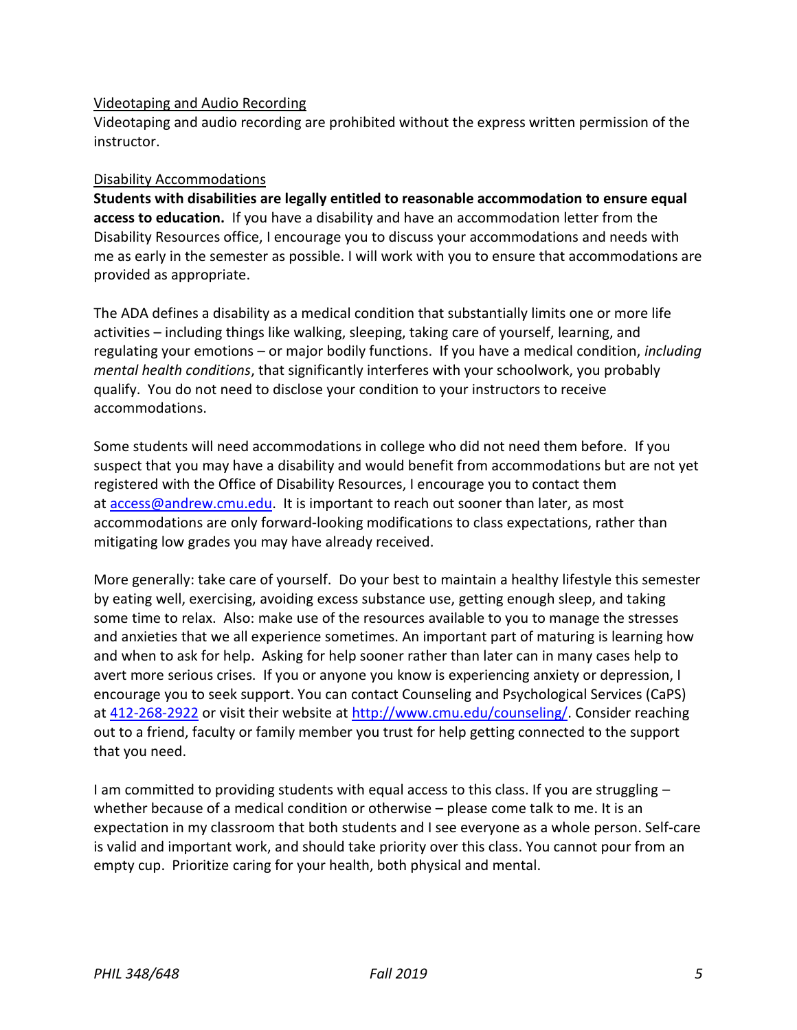### Videotaping and Audio Recording

Videotaping and audio recording are prohibited without the express written permission of the instructor.

#### Disability Accommodations

**Students with disabilities are legally entitled to reasonable accommodation to ensure equal access to education.** If you have a disability and have an accommodation letter from the Disability Resources office, I encourage you to discuss your accommodations and needs with me as early in the semester as possible. I will work with you to ensure that accommodations are provided as appropriate.

The ADA defines a disability as a medical condition that substantially limits one or more life activities – including things like walking, sleeping, taking care of yourself, learning, and regulating your emotions – or major bodily functions. If you have a medical condition, *including mental health conditions*, that significantly interferes with your schoolwork, you probably qualify. You do not need to disclose your condition to your instructors to receive accommodations.

Some students will need accommodations in college who did not need them before. If you suspect that you may have a disability and would benefit from accommodations but are not yet registered with the Office of Disability Resources, I encourage you to contact them at [access@andrew.cmu.edu.](mailto:access@andrew.cmu.edu) It is important to reach out sooner than later, as most accommodations are only forward-looking modifications to class expectations, rather than mitigating low grades you may have already received.

More generally: take care of yourself. Do your best to maintain a healthy lifestyle this semester by eating well, exercising, avoiding excess substance use, getting enough sleep, and taking some time to relax. Also: make use of the resources available to you to manage the stresses and anxieties that we all experience sometimes. An important part of maturing is learning how and when to ask for help. Asking for help sooner rather than later can in many cases help to avert more serious crises. If you or anyone you know is experiencing anxiety or depression, I encourage you to seek support. You can contact Counseling and Psychological Services (CaPS) at [412-268-2922](tel:(412)%20268-2922) or visit their website at [http://www.cmu.edu/counseling/.](http://www.cmu.edu/counseling/) Consider reaching out to a friend, faculty or family member you trust for help getting connected to the support that you need.

I am committed to providing students with equal access to this class. If you are struggling – whether because of a medical condition or otherwise – please come talk to me. It is an expectation in my classroom that both students and I see everyone as a whole person. Self-care is valid and important work, and should take priority over this class. You cannot pour from an empty cup. Prioritize caring for your health, both physical and mental.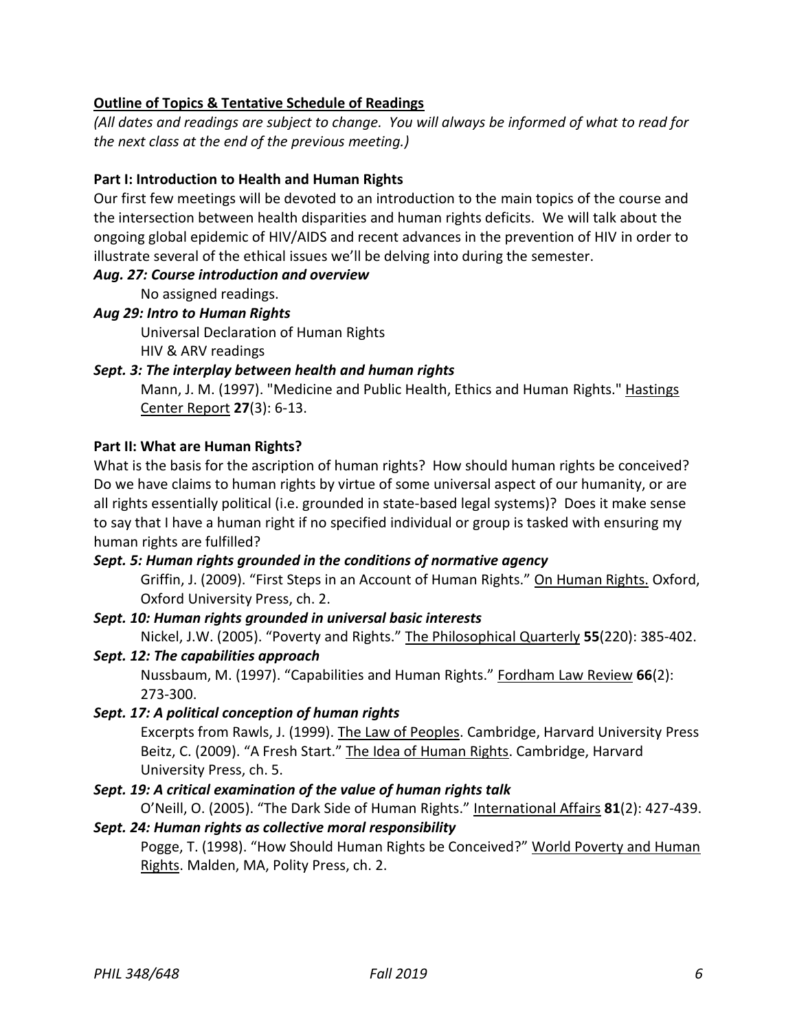# **Outline of Topics & Tentative Schedule of Readings**

*(All dates and readings are subject to change. You will always be informed of what to read for the next class at the end of the previous meeting.)*

## **Part I: Introduction to Health and Human Rights**

Our first few meetings will be devoted to an introduction to the main topics of the course and the intersection between health disparities and human rights deficits. We will talk about the ongoing global epidemic of HIV/AIDS and recent advances in the prevention of HIV in order to illustrate several of the ethical issues we'll be delving into during the semester.

### *Aug. 27: Course introduction and overview*

No assigned readings.

## *Aug 29: Intro to Human Rights*

Universal Declaration of Human Rights HIV & ARV readings

## *Sept. 3: The interplay between health and human rights*

Mann, J. M. (1997). "Medicine and Public Health, Ethics and Human Rights." Hastings Center Report **27**(3): 6-13.

### **Part II: What are Human Rights?**

What is the basis for the ascription of human rights? How should human rights be conceived? Do we have claims to human rights by virtue of some universal aspect of our humanity, or are all rights essentially political (i.e. grounded in state-based legal systems)? Does it make sense to say that I have a human right if no specified individual or group is tasked with ensuring my human rights are fulfilled?

# *Sept. 5: Human rights grounded in the conditions of normative agency*

Griffin, J. (2009). "First Steps in an Account of Human Rights." On Human Rights. Oxford, Oxford University Press, ch. 2.

# *Sept. 10: Human rights grounded in universal basic interests*

Nickel, J.W. (2005). "Poverty and Rights." The Philosophical Quarterly **55**(220): 385-402.

### *Sept. 12: The capabilities approach*

Nussbaum, M. (1997). "Capabilities and Human Rights." Fordham Law Review **66**(2): 273-300.

### *Sept. 17: A political conception of human rights*

Excerpts from Rawls, J. (1999). The Law of Peoples. Cambridge, Harvard University Press Beitz, C. (2009). "A Fresh Start." The Idea of Human Rights. Cambridge, Harvard University Press, ch. 5.

# *Sept. 19: A critical examination of the value of human rights talk*

O'Neill, O. (2005). "The Dark Side of Human Rights." International Affairs **81**(2): 427-439.

# *Sept. 24: Human rights as collective moral responsibility*

Pogge, T. (1998). "How Should Human Rights be Conceived?" World Poverty and Human Rights. Malden, MA, Polity Press, ch. 2.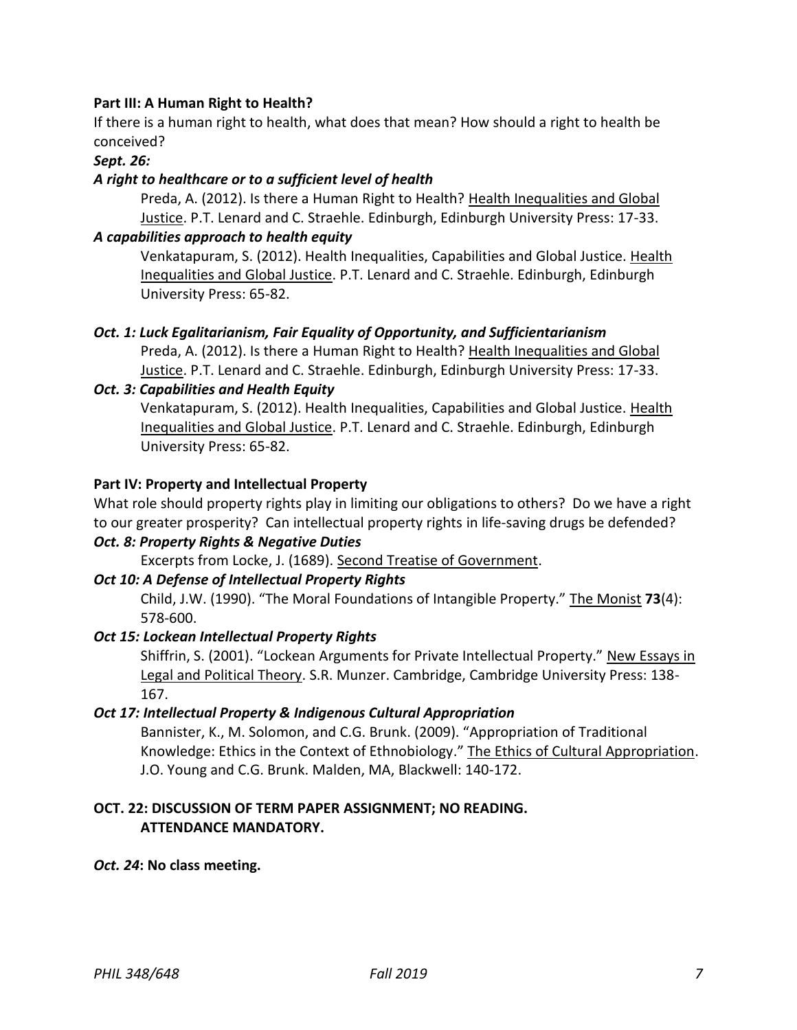# **Part III: A Human Right to Health?**

If there is a human right to health, what does that mean? How should a right to health be conceived?

### *Sept. 26:*

## *A right to healthcare or to a sufficient level of health*

Preda, A. (2012). Is there a Human Right to Health? Health Inequalities and Global Justice. P.T. Lenard and C. Straehle. Edinburgh, Edinburgh University Press: 17-33.

## *A capabilities approach to health equity*

Venkatapuram, S. (2012). Health Inequalities, Capabilities and Global Justice. Health Inequalities and Global Justice. P.T. Lenard and C. Straehle. Edinburgh, Edinburgh University Press: 65-82.

## *Oct. 1: Luck Egalitarianism, Fair Equality of Opportunity, and Sufficientarianism*

Preda, A. (2012). Is there a Human Right to Health? Health Inequalities and Global Justice. P.T. Lenard and C. Straehle. Edinburgh, Edinburgh University Press: 17-33.

## *Oct. 3: Capabilities and Health Equity*

Venkatapuram, S. (2012). Health Inequalities, Capabilities and Global Justice. Health Inequalities and Global Justice. P.T. Lenard and C. Straehle. Edinburgh, Edinburgh University Press: 65-82.

## **Part IV: Property and Intellectual Property**

What role should property rights play in limiting our obligations to others? Do we have a right to our greater prosperity? Can intellectual property rights in life-saving drugs be defended?

### *Oct. 8: Property Rights & Negative Duties*

Excerpts from Locke, J. (1689). Second Treatise of Government.

### *Oct 10: A Defense of Intellectual Property Rights*

Child, J.W. (1990). "The Moral Foundations of Intangible Property." The Monist **73**(4): 578-600.

### *Oct 15: Lockean Intellectual Property Rights*

Shiffrin, S. (2001). "Lockean Arguments for Private Intellectual Property." New Essays in Legal and Political Theory. S.R. Munzer. Cambridge, Cambridge University Press: 138- 167.

### *Oct 17: Intellectual Property & Indigenous Cultural Appropriation*

Bannister, K., M. Solomon, and C.G. Brunk. (2009). "Appropriation of Traditional Knowledge: Ethics in the Context of Ethnobiology." The Ethics of Cultural Appropriation. J.O. Young and C.G. Brunk. Malden, MA, Blackwell: 140-172.

# **OCT. 22: DISCUSSION OF TERM PAPER ASSIGNMENT; NO READING. ATTENDANCE MANDATORY.**

### *Oct. 24***: No class meeting.**